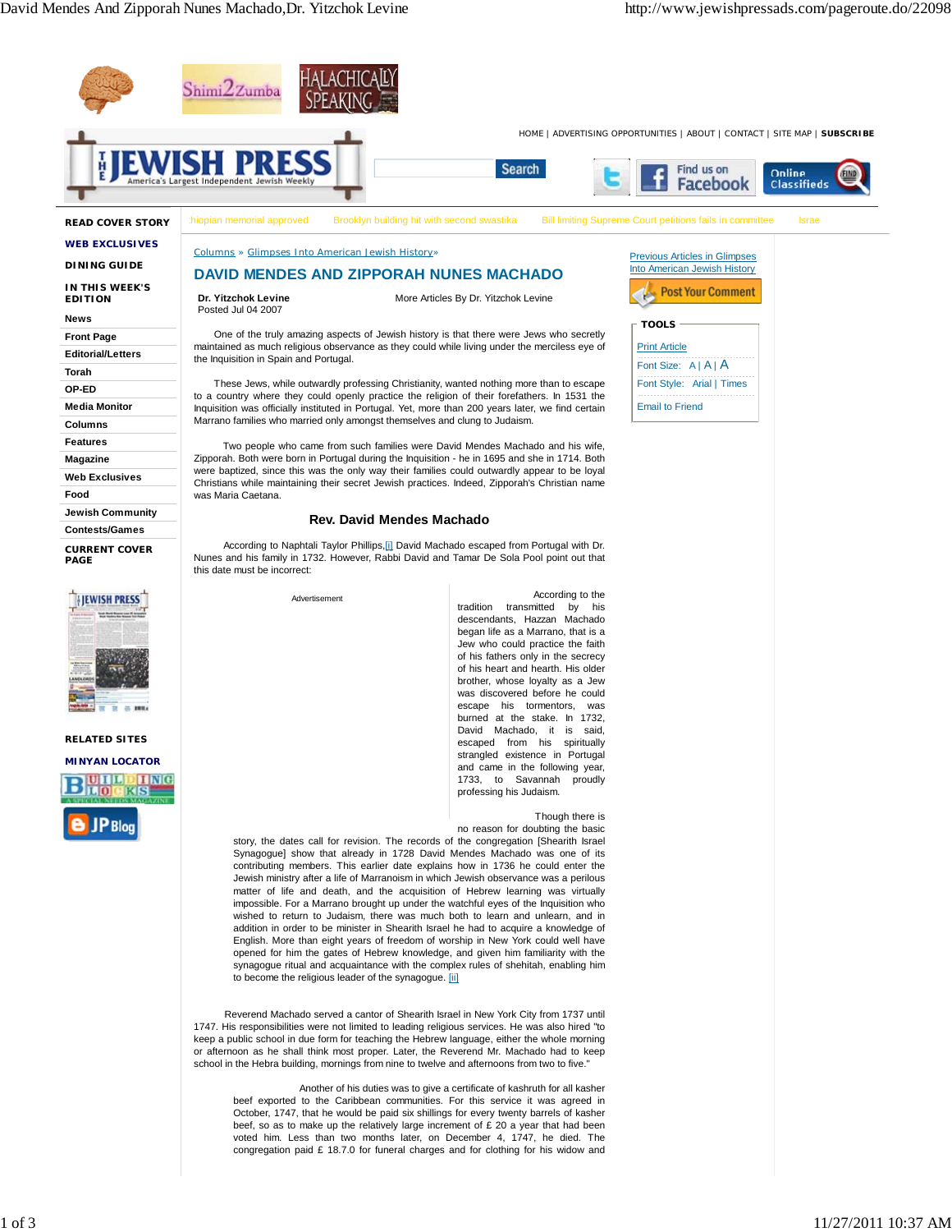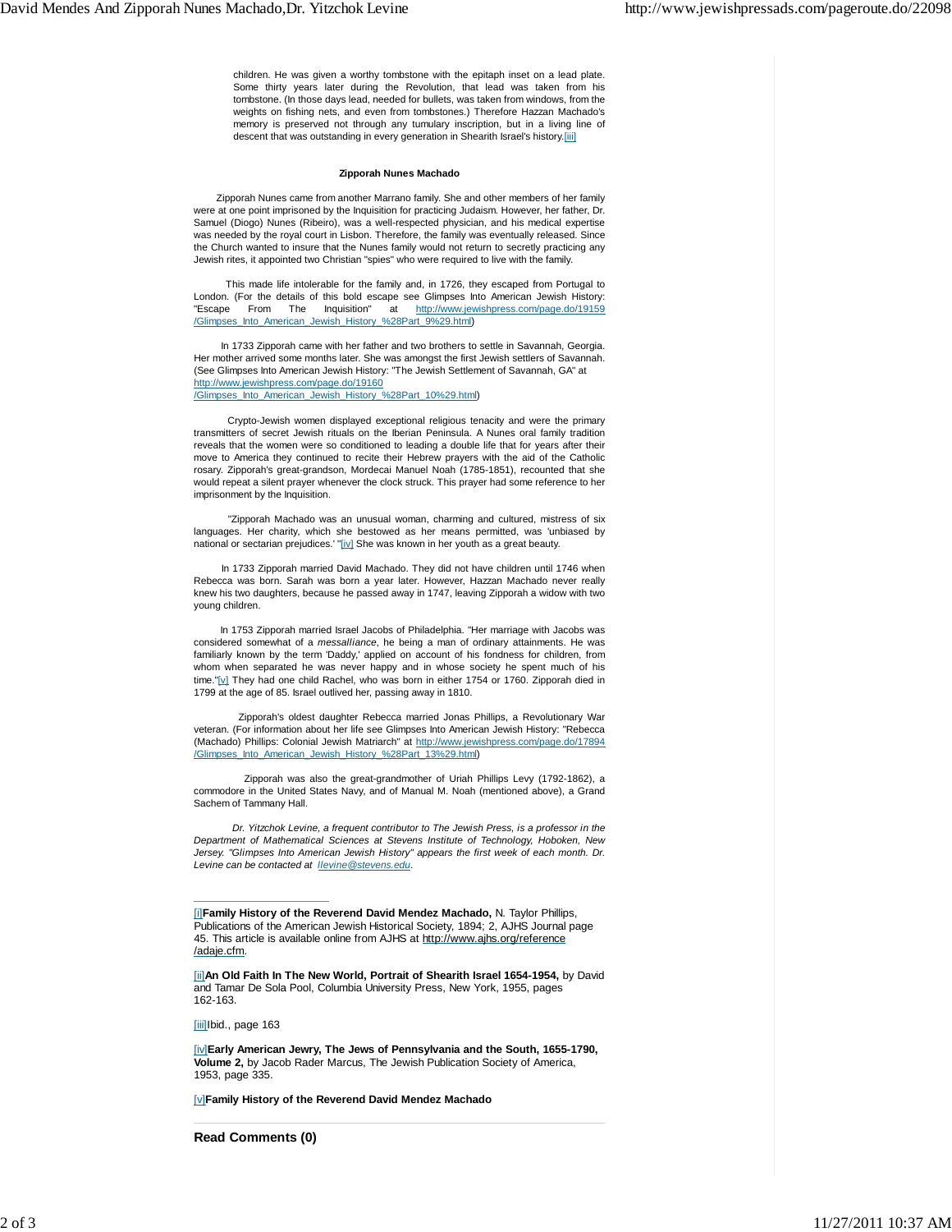children. He was given a worthy tombstone with the epitaph inset on a lead plate. Some thirty years later during the Revolution, that lead was taken from his tombstone. (In those days lead, needed for bullets, was taken from windows, from the weights on fishing nets, and even from tombstones.) Therefore Hazzan Machado's memory is preserved not through any tumulary inscription, but in a living line of descent that was outstanding in every generation in Shearith Israel's history.[iii]

## **Zipporah Nunes Machado**

Zipporah Nunes came from another Marrano family. She and other members of her family were at one point imprisoned by the Inquisition for practicing Judaism. However, her father, Dr. Samuel (Diogo) Nunes (Ribeiro), was a well-respected physician, and his medical expertise was needed by the royal court in Lisbon. Therefore, the family was eventually released. Since the Church wanted to insure that the Nunes family would not return to secretly practicing any Jewish rites, it appointed two Christian "spies" who were required to live with the family.

 This made life intolerable for the family and, in 1726, they escaped from Portugal to London. (For the details of this bold escape see Glimpses Into American Jewish History: Escape From The Inquisition" at http://www.jewishpress.com/page.do/19159 /Glimpses\_Into\_American\_Jewish\_History\_%28Part\_9%29.html)

 In 1733 Zipporah came with her father and two brothers to settle in Savannah, Georgia. Her mother arrived some months later. She was amongst the first Jewish settlers of Savannah. (See Glimpses Into American Jewish History: "The Jewish Settlement of Savannah, GA" at http://www.jewishpress.com/page.do/19160 /Glimpses\_Into\_American\_Jewish\_History\_%28Part\_10%29.html)

 Crypto-Jewish women displayed exceptional religious tenacity and were the primary transmitters of secret Jewish rituals on the Iberian Peninsula. A Nunes oral family tradition reveals that the women were so conditioned to leading a double life that for years after their move to America they continued to recite their Hebrew prayers with the aid of the Catholic rosary. Zipporah's great-grandson, Mordecai Manuel Noah (1785-1851), recounted that she would repeat a silent prayer whenever the clock struck. This prayer had some reference to her imprisonment by the Inquisition.

 "Zipporah Machado was an unusual woman, charming and cultured, mistress of six languages. Her charity, which she bestowed as her means permitted, was 'unbiased by national or sectarian prejudices.' "[iv] She was known in her youth as a great beauty.

 In 1733 Zipporah married David Machado. They did not have children until 1746 when Rebecca was born. Sarah was born a year later. However, Hazzan Machado never really knew his two daughters, because he passed away in 1747, leaving Zipporah a widow with two young children.

 In 1753 Zipporah married Israel Jacobs of Philadelphia. "Her marriage with Jacobs was considered somewhat of a *messalliance*, he being a man of ordinary attainments. He was familiarly known by the term 'Daddy,' applied on account of his fondness for children, from whom when separated he was never happy and in whose society he spent much of his time."[v] They had one child Rachel, who was born in either 1754 or 1760. Zipporah died in 1799 at the age of 85. Israel outlived her, passing away in 1810.

 Zipporah's oldest daughter Rebecca married Jonas Phillips, a Revolutionary War veteran. (For information about her life see Glimpses Into American Jewish History: "Rebecca (Machado) Phillips: Colonial Jewish Matriarch" at http://www.jewishpress.com/page.do/17894 /Glimpses\_Into\_American\_Jewish\_History\_%28Part\_13%29.html)

 Zipporah was also the great-grandmother of Uriah Phillips Levy (1792-1862), a commodore in the United States Navy, and of Manual M. Noah (mentioned above), a Grand Sachem of Tammany Hall.

 *Dr. Yitzchok Levine, a frequent contributor to The Jewish Press, is a professor in the Department of Mathematical Sciences at Stevens Institute of Technology, Hoboken, New Jersey. "Glimpses Into American Jewish History" appears the first week of each month. Dr. Levine can be contacted at llevine@stevens.edu*.

[ii]**An Old Faith In The New World, Portrait of Shearith Israel 1654-1954,** by David and Tamar De Sola Pool, Columbia University Press, New York, 1955, pages 162-163.

[iii]Ibid., page 163

[iv]**Early American Jewry, The Jews of Pennsylvania and the South, 1655-1790, Volume 2,** by Jacob Rader Marcus, The Jewish Publication Society of America, 1953, page 335.

[v]**Family History of the Reverend David Mendez Machado**

**Read Comments (0)**

<sup>[</sup>i]**Family History of the Reverend David Mendez Machado,** N. Taylor Phillips, Publications of the American Jewish Historical Society, 1894; 2, AJHS Journal page 45. This article is available online from AJHS at http://www.ajhs.org/reference /adaje.cfm.